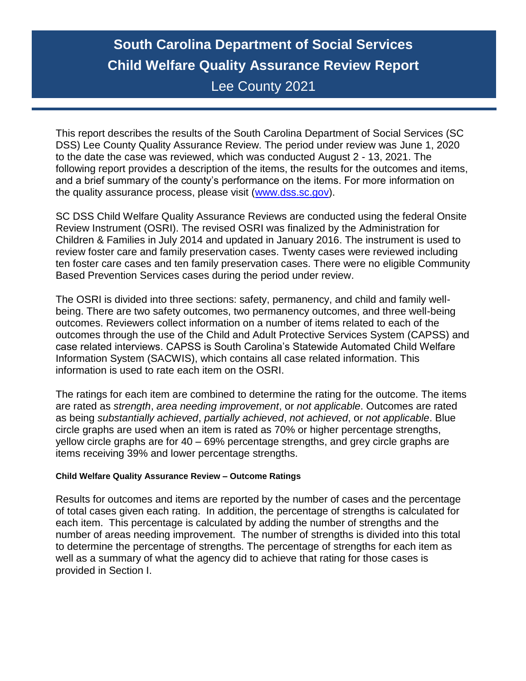# **South Carolina Department of Social Services Child Welfare Quality Assurance Review Report** Lee County 2021

This report describes the results of the South Carolina Department of Social Services (SC DSS) Lee County Quality Assurance Review. The period under review was June 1, 2020 to the date the case was reviewed, which was conducted August 2 - 13, 2021. The following report provides a description of the items, the results for the outcomes and items, and a brief summary of the county's performance on the items. For more information on the quality assurance process, please visit [\(www.dss.sc.gov\)](http://www.dss.sc.gov/).

SC DSS Child Welfare Quality Assurance Reviews are conducted using the federal Onsite Review Instrument (OSRI). The revised OSRI was finalized by the Administration for Children & Families in July 2014 and updated in January 2016. The instrument is used to review foster care and family preservation cases. Twenty cases were reviewed including ten foster care cases and ten family preservation cases. There were no eligible Community Based Prevention Services cases during the period under review.

The OSRI is divided into three sections: safety, permanency, and child and family wellbeing. There are two safety outcomes, two permanency outcomes, and three well-being outcomes. Reviewers collect information on a number of items related to each of the outcomes through the use of the Child and Adult Protective Services System (CAPSS) and case related interviews. CAPSS is South Carolina's Statewide Automated Child Welfare Information System (SACWIS), which contains all case related information. This information is used to rate each item on the OSRI.

The ratings for each item are combined to determine the rating for the outcome. The items are rated as *strength*, *area needing improvement*, or *not applicable*. Outcomes are rated as being *substantially achieved*, *partially achieved*, *not achieved*, or *not applicable*. Blue circle graphs are used when an item is rated as 70% or higher percentage strengths, yellow circle graphs are for 40 – 69% percentage strengths, and grey circle graphs are items receiving 39% and lower percentage strengths.

#### **Child Welfare Quality Assurance Review – Outcome Ratings**

Results for outcomes and items are reported by the number of cases and the percentage of total cases given each rating. In addition, the percentage of strengths is calculated for each item. This percentage is calculated by adding the number of strengths and the number of areas needing improvement. The number of strengths is divided into this total to determine the percentage of strengths. The percentage of strengths for each item as well as a summary of what the agency did to achieve that rating for those cases is provided in Section I.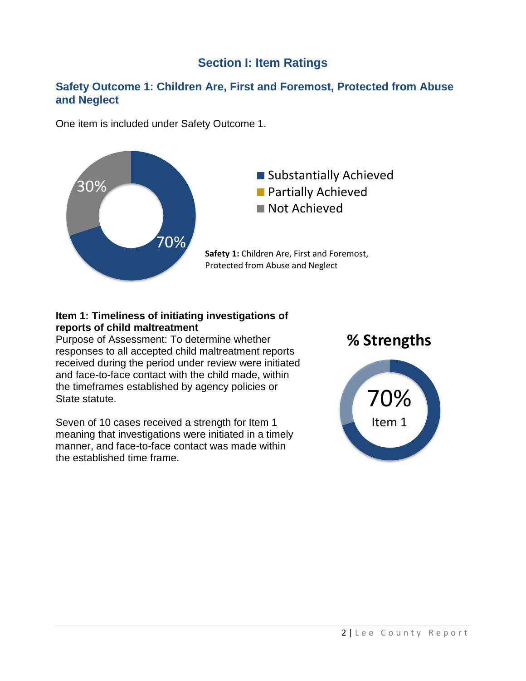## **Section I: Item Ratings**

### **Safety Outcome 1: Children Are, First and Foremost, Protected from Abuse and Neglect**

One item is included under Safety Outcome 1.



#### **Item 1: Timeliness of initiating investigations of reports of child maltreatment**

Purpose of Assessment: To determine whether responses to all accepted child maltreatment reports received during the period under review were initiated and face-to-face contact with the child made, within the timeframes established by agency policies or State statute.

Seven of 10 cases received a strength for Item 1 meaning that investigations were initiated in a timely manner, and face-to-face contact was made within the established time frame.



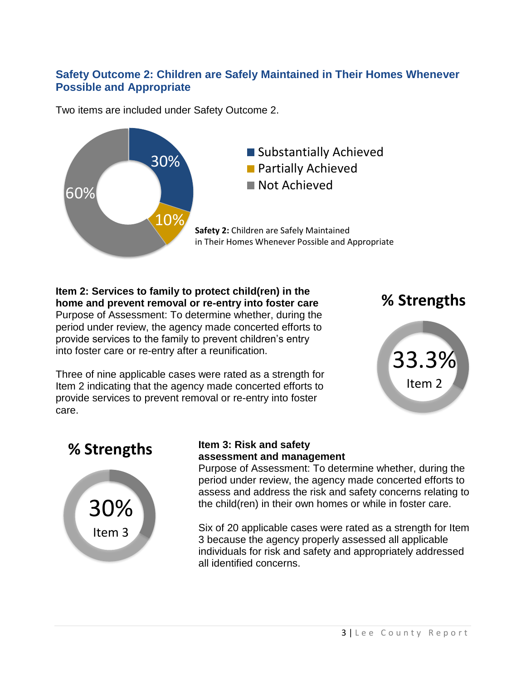## **Safety Outcome 2: Children are Safely Maintained in Their Homes Whenever Possible and Appropriate**

Two items are included under Safety Outcome 2.



**Item 2: Services to family to protect child(ren) in the home and prevent removal or re-entry into foster care** Purpose of Assessment: To determine whether, during the period under review, the agency made concerted efforts to provide services to the family to prevent children's entry into foster care or re-entry after a reunification.

Three of nine applicable cases were rated as a strength for Item 2 indicating that the agency made concerted efforts to provide services to prevent removal or re-entry into foster care.







#### **Item 3: Risk and safety assessment and management**

Purpose of Assessment: To determine whether, during the period under review, the agency made concerted efforts to assess and address the risk and safety concerns relating to the child(ren) in their own homes or while in foster care.

Six of 20 applicable cases were rated as a strength for Item 3 because the agency properly assessed all applicable individuals for risk and safety and appropriately addressed all identified concerns.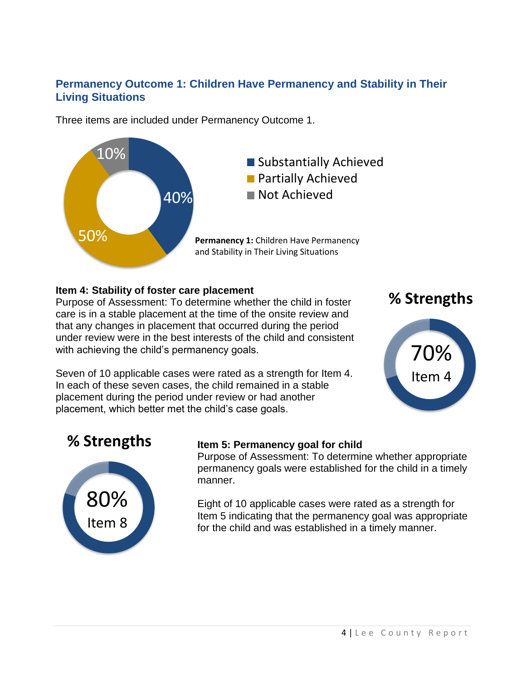## **Permanency Outcome 1: Children Have Permanency and Stability in Their Living Situations**

Three items are included under Permanency Outcome 1.



#### **Item 4: Stability of foster care placement**

Purpose of Assessment: To determine whether the child in foster care is in a stable placement at the time of the onsite review and that any changes in placement that occurred during the period under review were in the best interests of the child and consistent with achieving the child's permanency goals.

Seven of 10 applicable cases were rated as a strength for Item 4. In each of these seven cases, the child remained in a stable placement during the period under review or had another placement, which better met the child's case goals.

## **% Strengths**



## **% Strengths**



## **Item 5: Permanency goal for child**

Purpose of Assessment: To determine whether appropriate permanency goals were established for the child in a timely manner.

Eight of 10 applicable cases were rated as a strength for Item 5 indicating that the permanency goal was appropriate for the child and was established in a timely manner.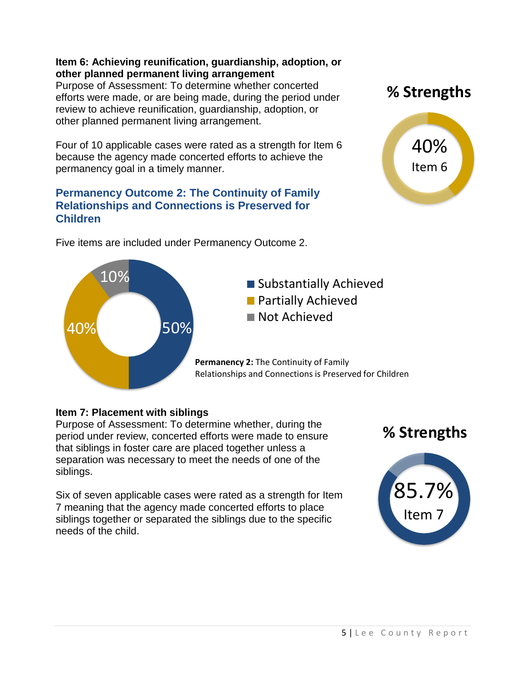#### **Item 6: Achieving reunification, guardianship, adoption, or other planned permanent living arrangement**

Purpose of Assessment: To determine whether concerted efforts were made, or are being made, during the period under review to achieve reunification, guardianship, adoption, or other planned permanent living arrangement.

Four of 10 applicable cases were rated as a strength for Item 6 because the agency made concerted efforts to achieve the permanency goal in a timely manner.

### **Permanency Outcome 2: The Continuity of Family Relationships and Connections is Preserved for Children**

Five items are included under Permanency Outcome 2.

40% Item 6



## **Item 7: Placement with siblings**

Purpose of Assessment: To determine whether, during the period under review, concerted efforts were made to ensure that siblings in foster care are placed together unless a separation was necessary to meet the needs of one of the siblings.

Six of seven applicable cases were rated as a strength for Item 7 meaning that the agency made concerted efforts to place siblings together or separated the siblings due to the specific needs of the child.

**% Strengths**



**% Strengths**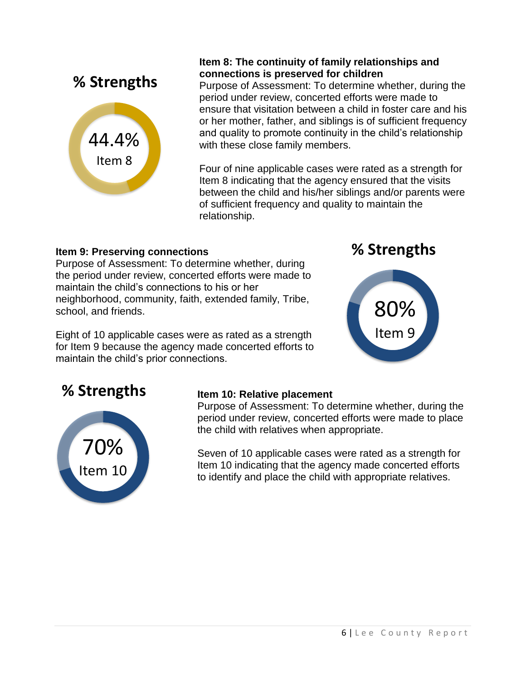

### **Item 8: The continuity of family relationships and connections is preserved for children**

Purpose of Assessment: To determine whether, during the period under review, concerted efforts were made to ensure that visitation between a child in foster care and his or her mother, father, and siblings is of sufficient frequency and quality to promote continuity in the child's relationship with these close family members.

Four of nine applicable cases were rated as a strength for Item 8 indicating that the agency ensured that the visits between the child and his/her siblings and/or parents were of sufficient frequency and quality to maintain the relationship.

## **Item 9: Preserving connections**

Purpose of Assessment: To determine whether, during the period under review, concerted efforts were made to maintain the child's connections to his or her neighborhood, community, faith, extended family, Tribe, school, and friends.

Eight of 10 applicable cases were as rated as a strength for Item 9 because the agency made concerted efforts to maintain the child's prior connections.

**% Strengths**



## **% Strengths**



### **Item 10: Relative placement**

Purpose of Assessment: To determine whether, during the period under review, concerted efforts were made to place the child with relatives when appropriate.

Seven of 10 applicable cases were rated as a strength for Item 10 indicating that the agency made concerted efforts to identify and place the child with appropriate relatives.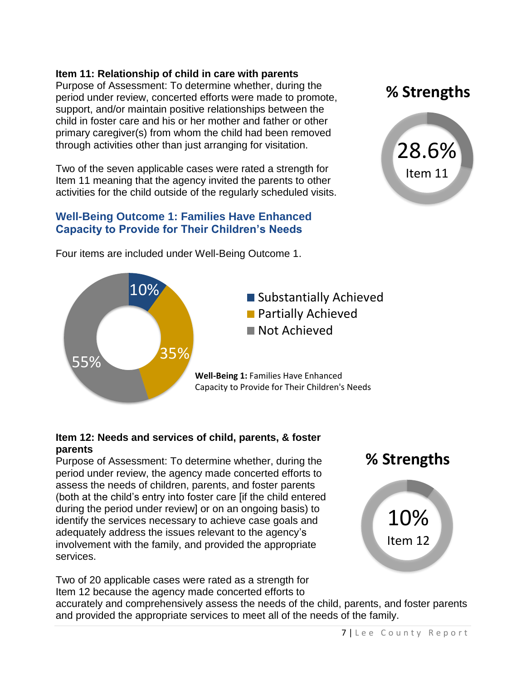#### **Item 11: Relationship of child in care with parents**

Purpose of Assessment: To determine whether, during the period under review, concerted efforts were made to promote, support, and/or maintain positive relationships between the child in foster care and his or her mother and father or other primary caregiver(s) from whom the child had been removed through activities other than just arranging for visitation.

Two of the seven applicable cases were rated a strength for Item 11 meaning that the agency invited the parents to other activities for the child outside of the regularly scheduled visits.

### **Well-Being Outcome 1: Families Have Enhanced Capacity to Provide for Their Children's Needs**

Four items are included under Well-Being Outcome 1.





#### **Item 12: Needs and services of child, parents, & foster parents**

Purpose of Assessment: To determine whether, during the period under review, the agency made concerted efforts to assess the needs of children, parents, and foster parents (both at the child's entry into foster care [if the child entered during the period under review] or on an ongoing basis) to identify the services necessary to achieve case goals and adequately address the issues relevant to the agency's involvement with the family, and provided the appropriate services.

Two of 20 applicable cases were rated as a strength for Item 12 because the agency made concerted efforts to



accurately and comprehensively assess the needs of the child, parents, and foster parents and provided the appropriate services to meet all of the needs of the family.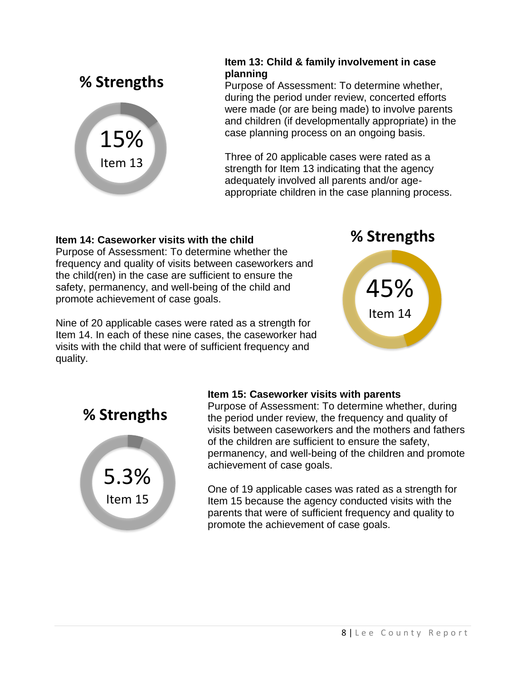

### **Item 13: Child & family involvement in case planning**

Purpose of Assessment: To determine whether, during the period under review, concerted efforts were made (or are being made) to involve parents and children (if developmentally appropriate) in the case planning process on an ongoing basis.

Three of 20 applicable cases were rated as a strength for Item 13 indicating that the agency adequately involved all parents and/or ageappropriate children in the case planning process.

### **Item 14: Caseworker visits with the child**

Purpose of Assessment: To determine whether the frequency and quality of visits between caseworkers and the child(ren) in the case are sufficient to ensure the safety, permanency, and well-being of the child and promote achievement of case goals.

Nine of 20 applicable cases were rated as a strength for Item 14. In each of these nine cases, the caseworker had visits with the child that were of sufficient frequency and quality.

**% Strengths**



**% Strengths**



### **Item 15: Caseworker visits with parents**

Purpose of Assessment: To determine whether, during the period under review, the frequency and quality of visits between caseworkers and the mothers and fathers of the children are sufficient to ensure the safety, permanency, and well-being of the children and promote achievement of case goals.

One of 19 applicable cases was rated as a strength for Item 15 because the agency conducted visits with the parents that were of sufficient frequency and quality to promote the achievement of case goals.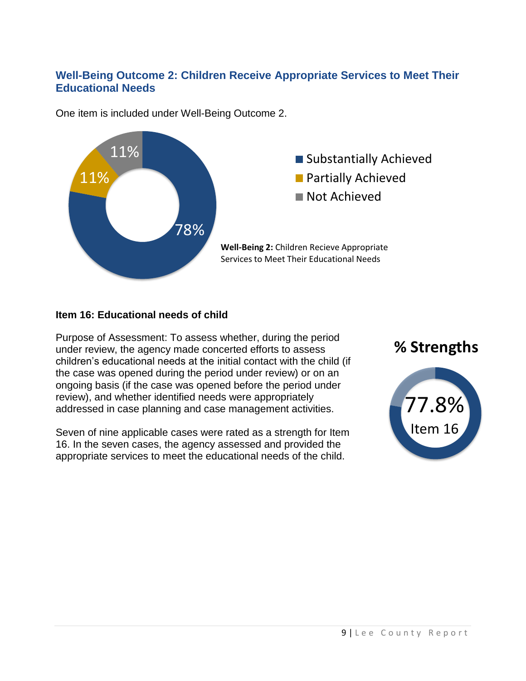## **Well-Being Outcome 2: Children Receive Appropriate Services to Meet Their Educational Needs**



One item is included under Well-Being Outcome 2.

#### **Item 16: Educational needs of child**

Purpose of Assessment: To assess whether, during the period under review, the agency made concerted efforts to assess children's educational needs at the initial contact with the child (if the case was opened during the period under review) or on an ongoing basis (if the case was opened before the period under review), and whether identified needs were appropriately addressed in case planning and case management activities.

Seven of nine applicable cases were rated as a strength for Item 16. In the seven cases, the agency assessed and provided the appropriate services to meet the educational needs of the child.

## **% Strengths**

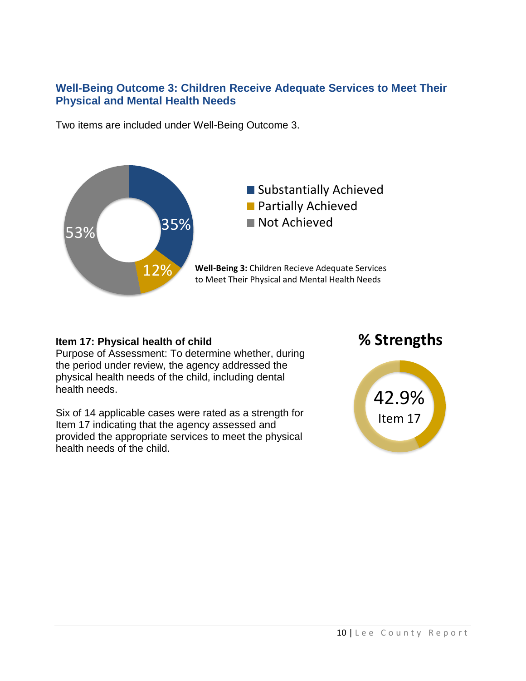### **Well-Being Outcome 3: Children Receive Adequate Services to Meet Their Physical and Mental Health Needs**

Two items are included under Well-Being Outcome 3.



#### **Item 17: Physical health of child**

Purpose of Assessment: To determine whether, during the period under review, the agency addressed the physical health needs of the child, including dental health needs.

Six of 14 applicable cases were rated as a strength for Item 17 indicating that the agency assessed and provided the appropriate services to meet the physical health needs of the child.

## **% Strengths**